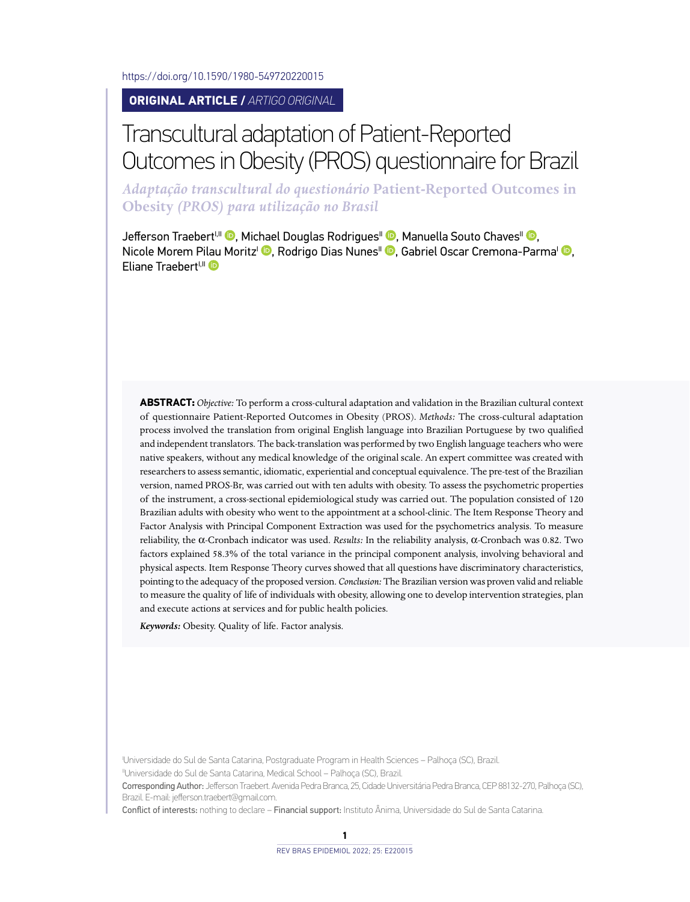<https://doi.org/10.1590/1980-549720220015>

#### **ORIGINAL ARTICLE /** *ARTIGO ORIGINAL*

# Transcultural adaptation of Patient-Reported Outcomes in Obesity (PROS) questionnaire for Brazil

*Adaptação transcultural do questionário* **Patient-Reported Outcomes in Obesity** *(PROS) para utilização no Brasil*

Jefferson Traebert<sup>i[,](http://orcid.org/0000-0001-8709-0720) II</sup> , Michael Douglas Rodrigues<sup>II</sup> **D**, Manuella Souto Chaves<sup>II</sup> **D**, Nicole Morem P[ilau](http://orcid.org/0000-0001-9667-7216) Moritz<sup>i</sup> <sup>(D</sup>)[,](http://orcid.org/0000-0001-9540-6908) Rodrigo Dias Nunes<sup>||</sup> (D), Gabriel Oscar Cremona-Parma<sup>|</sup> (D), Eliane Traebert<sup>I,II</sup>

**ABSTRACT:** *Objective:* To perform a cross-cultural adaptation and validation in the Brazilian cultural context of questionnaire Patient-Reported Outcomes in Obesity (PROS). *Methods:* The cross-cultural adaptation process involved the translation from original English language into Brazilian Portuguese by two qualified and independent translators. The back-translation was performed by two English language teachers who were native speakers, without any medical knowledge of the original scale. An expert committee was created with researchers to assess semantic, idiomatic, experiential and conceptual equivalence. The pre-test of the Brazilian version, named PROS-Br, was carried out with ten adults with obesity. To assess the psychometric properties of the instrument, a cross-sectional epidemiological study was carried out. The population consisted of 120 Brazilian adults with obesity who went to the appointment at a school-clinic. The Item Response Theory and Factor Analysis with Principal Component Extraction was used for the psychometrics analysis. To measure reliability, the α-Cronbach indicator was used. *Results:* In the reliability analysis, α-Cronbach was 0.82. Two factors explained 58.3% of the total variance in the principal component analysis, involving behavioral and physical aspects. Item Response Theory curves showed that all questions have discriminatory characteristics, pointing to the adequacy of the proposed version. *Conclusion:* The Brazilian version was proven valid and reliable to measure the quality of life of individuals with obesity, allowing one to develop intervention strategies, plan and execute actions at services and for public health policies.

*Keywords:* Obesity. Quality of life. Factor analysis.

I Universidade do Sul de Santa Catarina, Postgraduate Program in Health Sciences – Palhoça (SC), Brazil.

IIUniversidade do Sul de Santa Catarina, Medical School – Palhoça (SC), Brazil.

Corresponding Author: Jefferson Traebert. Avenida Pedra Branca, 25, Cidade Universitária Pedra Branca, CEP 88132-270, Palhoça (SC), Brazil. E-mail: [jefferson.traebert@gmail.com.](mailto:jefferson.traebert@gmail.com)

Conflict of interests: nothing to declare – Financial support: Instituto Ânima, Universidade do Sul de Santa Catarina.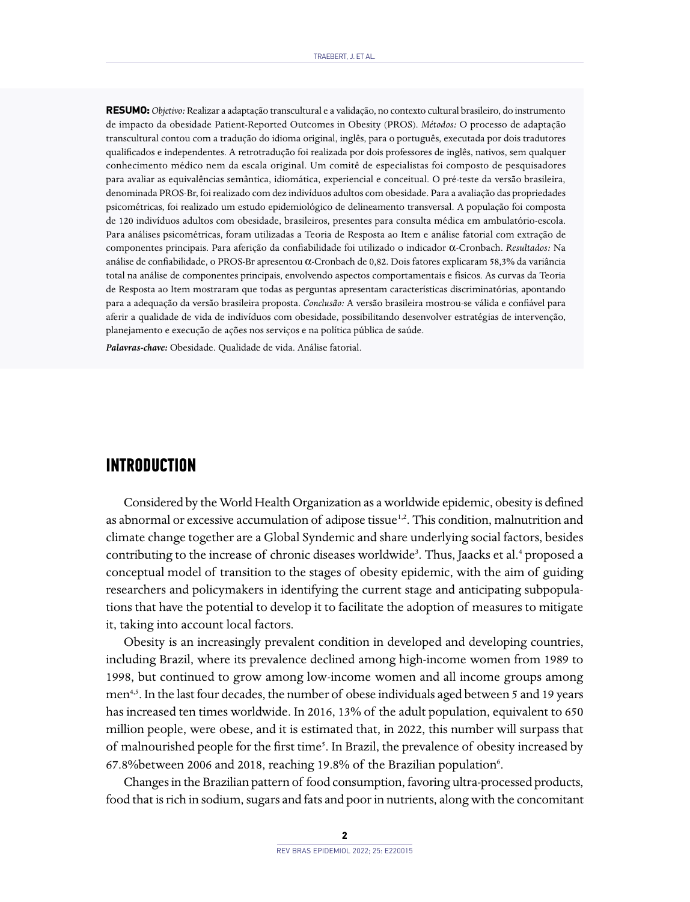**RESUMO:** *Objetivo:* Realizar a adaptação transcultural e a validação, no contexto cultural brasileiro, do instrumento de impacto da obesidade Patient-Reported Outcomes in Obesity (PROS). *Métodos:* O processo de adaptação transcultural contou com a tradução do idioma original, inglês, para o português, executada por dois tradutores qualificados e independentes. A retrotradução foi realizada por dois professores de inglês, nativos, sem qualquer conhecimento médico nem da escala original. Um comitê de especialistas foi composto de pesquisadores para avaliar as equivalências semântica, idiomática, experiencial e conceitual. O pré-teste da versão brasileira, denominada PROS-Br, foi realizado com dez indivíduos adultos com obesidade. Para a avaliação das propriedades psicométricas, foi realizado um estudo epidemiológico de delineamento transversal. A população foi composta de 120 indivíduos adultos com obesidade, brasileiros, presentes para consulta médica em ambulatório-escola. Para análises psicométricas, foram utilizadas a Teoria de Resposta ao Item e análise fatorial com extração de componentes principais. Para aferição da confiabilidade foi utilizado o indicador α-Cronbach. *Resultados:* Na análise de confiabilidade, o PROS-Br apresentou α-Cronbach de 0,82. Dois fatores explicaram 58,3% da variância total na análise de componentes principais, envolvendo aspectos comportamentais e físicos. As curvas da Teoria de Resposta ao Item mostraram que todas as perguntas apresentam características discriminatórias, apontando para a adequação da versão brasileira proposta. *Conclusão:* A versão brasileira mostrou-se válida e confiável para aferir a qualidade de vida de indivíduos com obesidade, possibilitando desenvolver estratégias de intervenção, planejamento e execução de ações nos serviços e na política pública de saúde.

*Palavras-chave:* Obesidade. Qualidade de vida. Análise fatorial.

# **INTRODUCTION**

Considered by the World Health Organization as a worldwide epidemic, obesity is defined as abnormal or excessive accumulation of adipose tissue<sup>1,2</sup>. This condition, malnutrition and climate change together are a Global Syndemic and share underlying social factors, besides contributing to the increase of chronic diseases worldwide<sup>3</sup>. Thus, Jaacks et al.<sup>4</sup> proposed a conceptual model of transition to the stages of obesity epidemic, with the aim of guiding researchers and policymakers in identifying the current stage and anticipating subpopulations that have the potential to develop it to facilitate the adoption of measures to mitigate it, taking into account local factors.

Obesity is an increasingly prevalent condition in developed and developing countries, including Brazil, where its prevalence declined among high-income women from 1989 to 1998, but continued to grow among low-income women and all income groups among men<sup>4,5</sup>. In the last four decades, the number of obese individuals aged between 5 and 19 years has increased ten times worldwide. In 2016, 13% of the adult population, equivalent to 650 million people, were obese, and it is estimated that, in 2022, this number will surpass that of malnourished people for the first time<sup>5</sup>. In Brazil, the prevalence of obesity increased by 67.8% between 2006 and 2018, reaching 19.8% of the Brazilian population6.

Changes in the Brazilian pattern of food consumption, favoring ultra-processed products, food that is rich in sodium, sugars and fats and poor in nutrients, along with the concomitant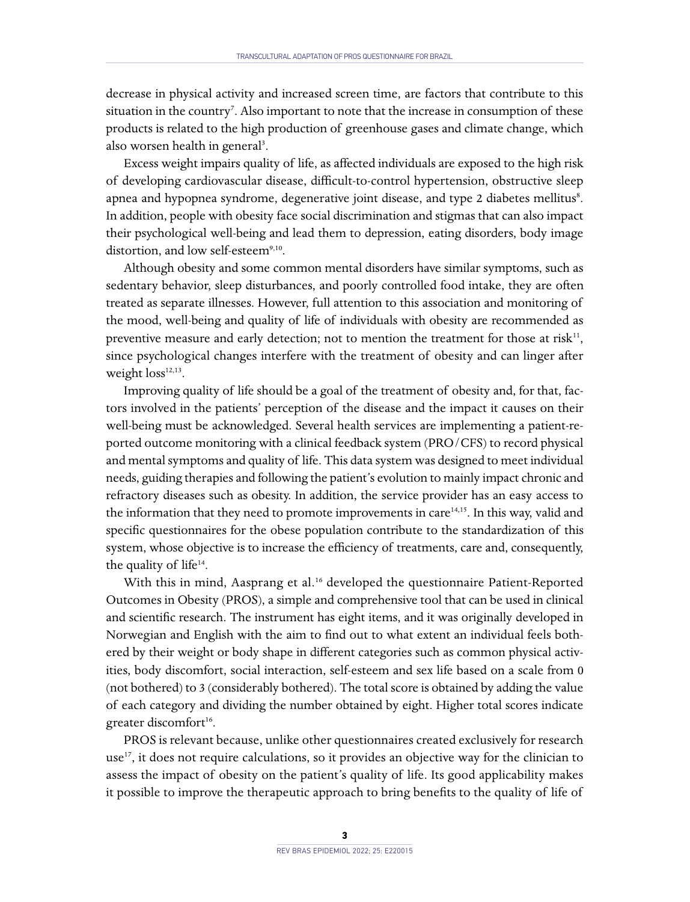decrease in physical activity and increased screen time, are factors that contribute to this situation in the country<sup>7</sup>. Also important to note that the increase in consumption of these products is related to the high production of greenhouse gases and climate change, which also worsen health in general<sup>3</sup>.

Excess weight impairs quality of life, as affected individuals are exposed to the high risk of developing cardiovascular disease, difficult-to-control hypertension, obstructive sleep apnea and hypopnea syndrome, degenerative joint disease, and type 2 diabetes mellitus<sup>8</sup>. In addition, people with obesity face social discrimination and stigmas that can also impact their psychological well-being and lead them to depression, eating disorders, body image distortion, and low self-esteem<sup>9,10</sup>.

Although obesity and some common mental disorders have similar symptoms, such as sedentary behavior, sleep disturbances, and poorly controlled food intake, they are often treated as separate illnesses. However, full attention to this association and monitoring of the mood, well-being and quality of life of individuals with obesity are recommended as preventive measure and early detection; not to mention the treatment for those at risk<sup>11</sup>, since psychological changes interfere with the treatment of obesity and can linger after weight loss<sup>12,13</sup>.

Improving quality of life should be a goal of the treatment of obesity and, for that, factors involved in the patients' perception of the disease and the impact it causes on their well-being must be acknowledged. Several health services are implementing a patient-reported outcome monitoring with a clinical feedback system (PRO/CFS) to record physical and mental symptoms and quality of life. This data system was designed to meet individual needs, guiding therapies and following the patient's evolution to mainly impact chronic and refractory diseases such as obesity. In addition, the service provider has an easy access to the information that they need to promote improvements in care $14,15$ . In this way, valid and specific questionnaires for the obese population contribute to the standardization of this system, whose objective is to increase the efficiency of treatments, care and, consequently, the quality of life<sup>14</sup>.

With this in mind, Aasprang et al.<sup>16</sup> developed the questionnaire Patient-Reported Outcomes in Obesity (PROS), a simple and comprehensive tool that can be used in clinical and scientific research. The instrument has eight items, and it was originally developed in Norwegian and English with the aim to find out to what extent an individual feels bothered by their weight or body shape in different categories such as common physical activities, body discomfort, social interaction, self-esteem and sex life based on a scale from 0 (not bothered) to 3 (considerably bothered). The total score is obtained by adding the value of each category and dividing the number obtained by eight. Higher total scores indicate greater discomfort<sup>16</sup>.

PROS is relevant because, unlike other questionnaires created exclusively for research use<sup>17</sup>, it does not require calculations, so it provides an objective way for the clinician to assess the impact of obesity on the patient's quality of life. Its good applicability makes it possible to improve the therapeutic approach to bring benefits to the quality of life of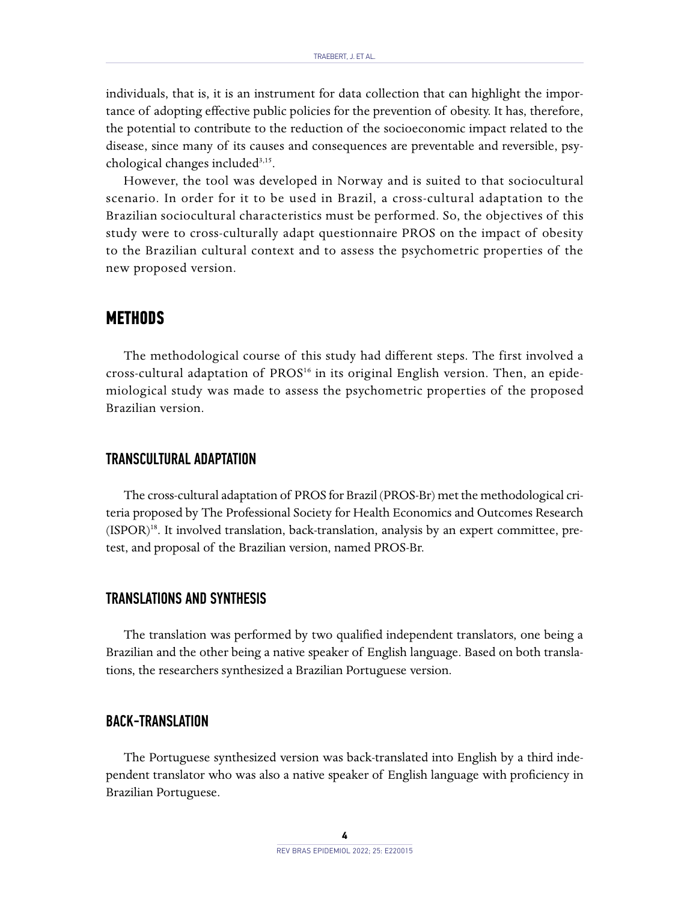individuals, that is, it is an instrument for data collection that can highlight the importance of adopting effective public policies for the prevention of obesity. It has, therefore, the potential to contribute to the reduction of the socioeconomic impact related to the disease, since many of its causes and consequences are preventable and reversible, psychological changes included<sup>3,15</sup>.

However, the tool was developed in Norway and is suited to that sociocultural scenario. In order for it to be used in Brazil, a cross-cultural adaptation to the Brazilian sociocultural characteristics must be performed. So, the objectives of this study were to cross-culturally adapt questionnaire PROS on the impact of obesity to the Brazilian cultural context and to assess the psychometric properties of the new proposed version.

## **METHODS**

The methodological course of this study had different steps. The first involved a cross-cultural adaptation of  $PROS<sup>16</sup>$  in its original English version. Then, an epidemiological study was made to assess the psychometric properties of the proposed Brazilian version.

### TRANSCULTURAL ADAPTATION

The cross-cultural adaptation of PROS for Brazil (PROS-Br) met the methodological criteria proposed by The Professional Society for Health Economics and Outcomes Research (ISPOR)18. It involved translation, back-translation, analysis by an expert committee, pretest, and proposal of the Brazilian version, named PROS-Br.

#### TRANSLATIONS AND SYNTHESIS

The translation was performed by two qualified independent translators, one being a Brazilian and the other being a native speaker of English language. Based on both translations, the researchers synthesized a Brazilian Portuguese version.

## BACK-TRANSLATION

The Portuguese synthesized version was back-translated into English by a third independent translator who was also a native speaker of English language with proficiency in Brazilian Portuguese.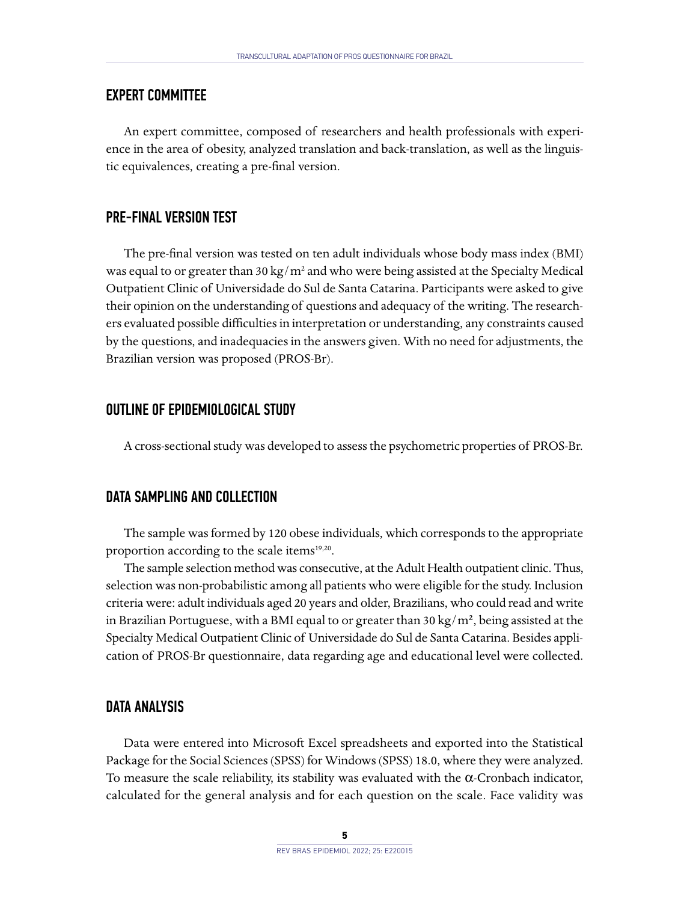## EXPERT COMMITTEE

An expert committee, composed of researchers and health professionals with experience in the area of obesity, analyzed translation and back-translation, as well as the linguistic equivalences, creating a pre-final version.

### PRE-FINAL VERSION TEST

The pre-final version was tested on ten adult individuals whose body mass index (BMI) was equal to or greater than 30 kg/ $m^2$  and who were being assisted at the Specialty Medical Outpatient Clinic of Universidade do Sul de Santa Catarina. Participants were asked to give their opinion on the understanding of questions and adequacy of the writing. The researchers evaluated possible difficulties in interpretation or understanding, any constraints caused by the questions, and inadequacies in the answers given. With no need for adjustments, the Brazilian version was proposed (PROS-Br).

#### OUTLINE OF EPIDEMIOLOGICAL STUDY

A cross-sectional study was developed to assess the psychometric properties of PROS-Br.

### DATA SAMPLING AND COLLECTION

The sample was formed by 120 obese individuals, which corresponds to the appropriate proportion according to the scale items<sup>19,20</sup>.

The sample selection method was consecutive, at the Adult Health outpatient clinic. Thus, selection was non-probabilistic among all patients who were eligible for the study. Inclusion criteria were: adult individuals aged 20 years and older, Brazilians, who could read and write in Brazilian Portuguese, with a BMI equal to or greater than 30 kg/m<sup>2</sup>, being assisted at the Specialty Medical Outpatient Clinic of Universidade do Sul de Santa Catarina. Besides application of PROS-Br questionnaire, data regarding age and educational level were collected.

#### DATA ANALYSIS

Data were entered into Microsoft Excel spreadsheets and exported into the Statistical Package for the Social Sciences (SPSS) for Windows (SPSS) 18.0, where they were analyzed. To measure the scale reliability, its stability was evaluated with the α-Cronbach indicator, calculated for the general analysis and for each question on the scale. Face validity was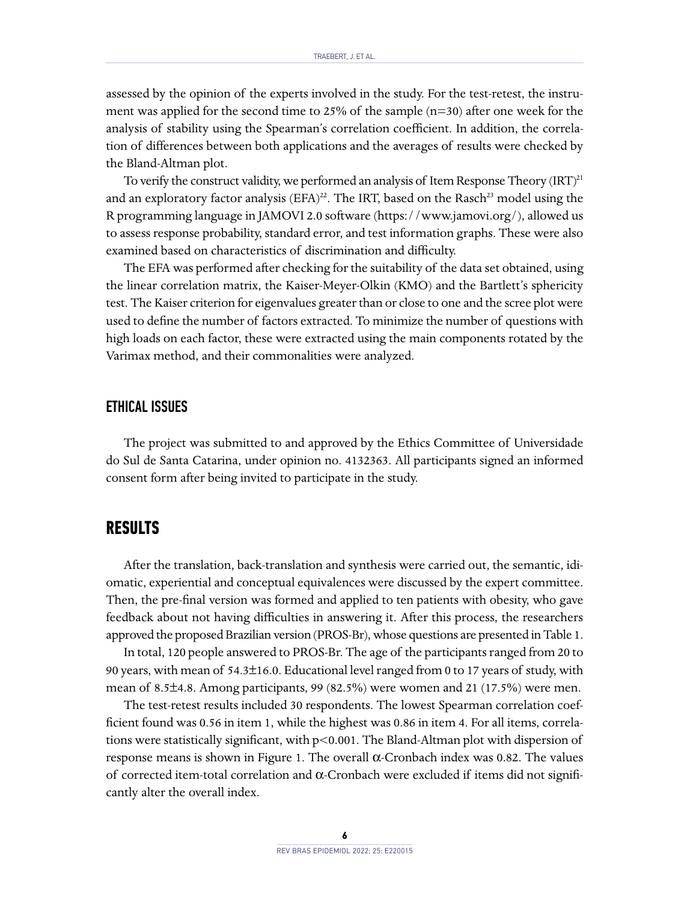assessed by the opinion of the experts involved in the study. For the test-retest, the instrument was applied for the second time to 25% of the sample (n=30) after one week for the analysis of stability using the Spearman's correlation coefficient. In addition, the correlation of differences between both applications and the averages of results were checked by the Bland-Altman plot.

To verify the construct validity, we performed an analysis of Item Response Theory (IRT)<sup>21</sup> and an exploratory factor analysis  $(EFA)^{22}$ . The IRT, based on the Rasch<sup>23</sup> model using the R programming language in JAMOVI 2.0 software ([https://www.jamovi.org/\)](https://www.jamovi.org/), allowed us to assess response probability, standard error, and test information graphs. These were also examined based on characteristics of discrimination and difficulty.

The EFA was performed after checking for the suitability of the data set obtained, using the linear correlation matrix, the Kaiser-Meyer-Olkin (KMO) and the Bartlett's sphericity test. The Kaiser criterion for eigenvalues greater than or close to one and the scree plot were used to define the number of factors extracted. To minimize the number of questions with high loads on each factor, these were extracted using the main components rotated by the Varimax method, and their commonalities were analyzed.

#### ETHICAL ISSUES

The project was submitted to and approved by the Ethics Committee of Universidade do Sul de Santa Catarina, under opinion no. 4132363. All participants signed an informed consent form after being invited to participate in the study.

# **RESULTS**

After the translation, back-translation and synthesis were carried out, the semantic, idiomatic, experiential and conceptual equivalences were discussed by the expert committee. Then, the pre-final version was formed and applied to ten patients with obesity, who gave feedback about not having difficulties in answering it. After this process, the researchers approved the proposed Brazilian version (PROS-Br), whose questions are presented in Table 1.

In total, 120 people answered to PROS-Br. The age of the participants ranged from 20 to 90 years, with mean of 54.3±16.0. Educational level ranged from 0 to 17 years of study, with mean of 8.5±4.8. Among participants, 99 (82.5%) were women and 21 (17.5%) were men.

The test-retest results included 30 respondents. The lowest Spearman correlation coefficient found was 0.56 in item 1, while the highest was 0.86 in item 4. For all items, correlations were statistically significant, with p<0.001. The Bland-Altman plot with dispersion of response means is shown in Figure 1. The overall α-Cronbach index was 0.82. The values of corrected item-total correlation and α-Cronbach were excluded if items did not significantly alter the overall index.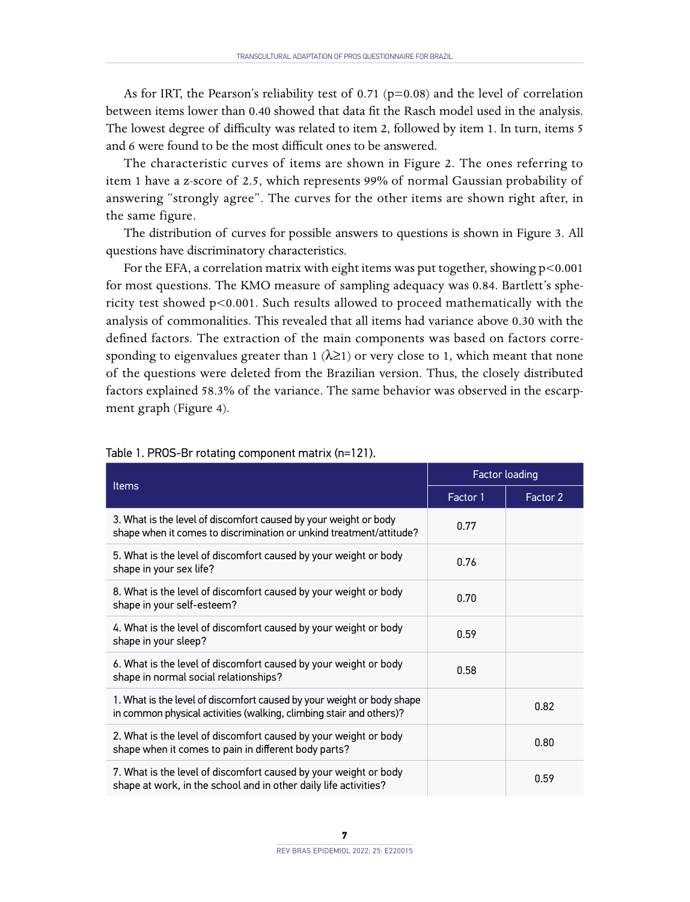As for IRT, the Pearson's reliability test of 0.71 ( $p=0.08$ ) and the level of correlation between items lower than 0.40 showed that data fit the Rasch model used in the analysis. The lowest degree of difficulty was related to item 2, followed by item 1. In turn, items 5 and 6 were found to be the most difficult ones to be answered.

The characteristic curves of items are shown in Figure 2. The ones referring to item 1 have a z-score of 2.5, which represents 99% of normal Gaussian probability of answering "strongly agree". The curves for the other items are shown right after, in the same figure.

The distribution of curves for possible answers to questions is shown in Figure 3. All questions have discriminatory characteristics.

For the EFA, a correlation matrix with eight items was put together, showing p<0.001 for most questions. The KMO measure of sampling adequacy was 0.84. Bartlett's sphericity test showed p<0.001. Such results allowed to proceed mathematically with the analysis of commonalities. This revealed that all items had variance above 0.30 with the defined factors. The extraction of the main components was based on factors corresponding to eigenvalues greater than 1 ( $\lambda \ge 1$ ) or very close to 1, which meant that none of the questions were deleted from the Brazilian version. Thus, the closely distributed factors explained 58.3% of the variance. The same behavior was observed in the escarpment graph (Figure 4).

| <b>Items</b>                                                                                                                                  | Factor loading |          |
|-----------------------------------------------------------------------------------------------------------------------------------------------|----------------|----------|
|                                                                                                                                               | Factor 1       | Factor 2 |
| 3. What is the level of discomfort caused by your weight or body<br>shape when it comes to discrimination or unkind treatment/attitude?       | 0.77           |          |
| 5. What is the level of discomfort caused by your weight or body<br>shape in your sex life?                                                   | 0.76           |          |
| 8. What is the level of discomfort caused by your weight or body<br>shape in your self-esteem?                                                | 0.70           |          |
| 4. What is the level of discomfort caused by your weight or body<br>shape in your sleep?                                                      | 0.59           |          |
| 6. What is the level of discomfort caused by your weight or body<br>shape in normal social relationships?                                     | 0.58           |          |
| 1. What is the level of discomfort caused by your weight or body shape<br>in common physical activities (walking, climbing stair and others)? |                | 0.82     |
| 2. What is the level of discomfort caused by your weight or body<br>shape when it comes to pain in different body parts?                      |                | 0.80     |
| 7. What is the level of discomfort caused by your weight or body<br>shape at work, in the school and in other daily life activities?          |                | 0.59     |

#### Table 1. PROS-Br rotating component matrix (n=121).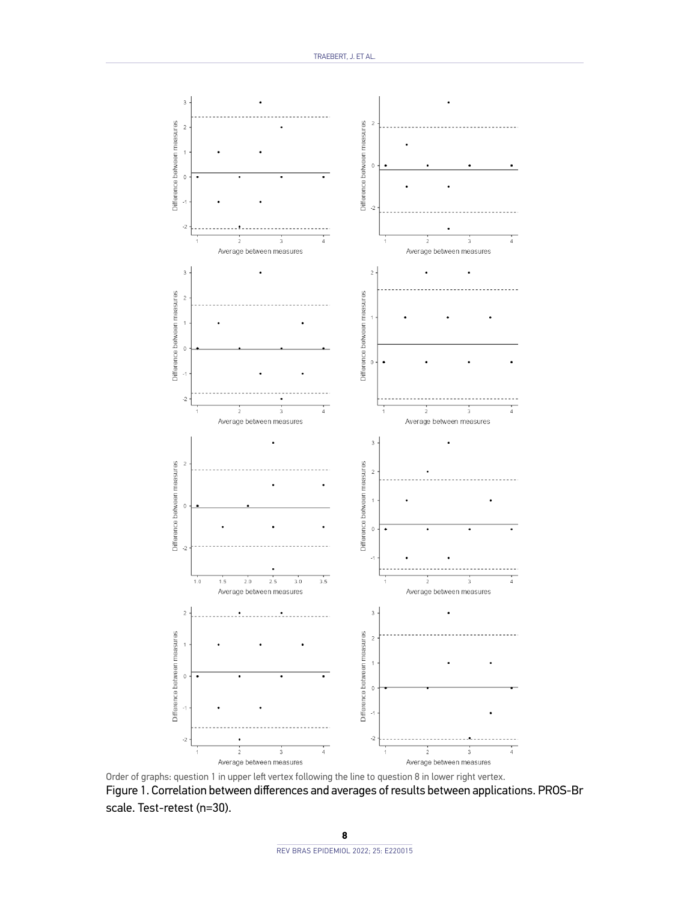

Figure 1. Correlation between differences and averages of results between applications. PROS-Br scale. Test-retest (n=30). Order of graphs: question 1 in upper left vertex following the line to question 8 in lower right vertex.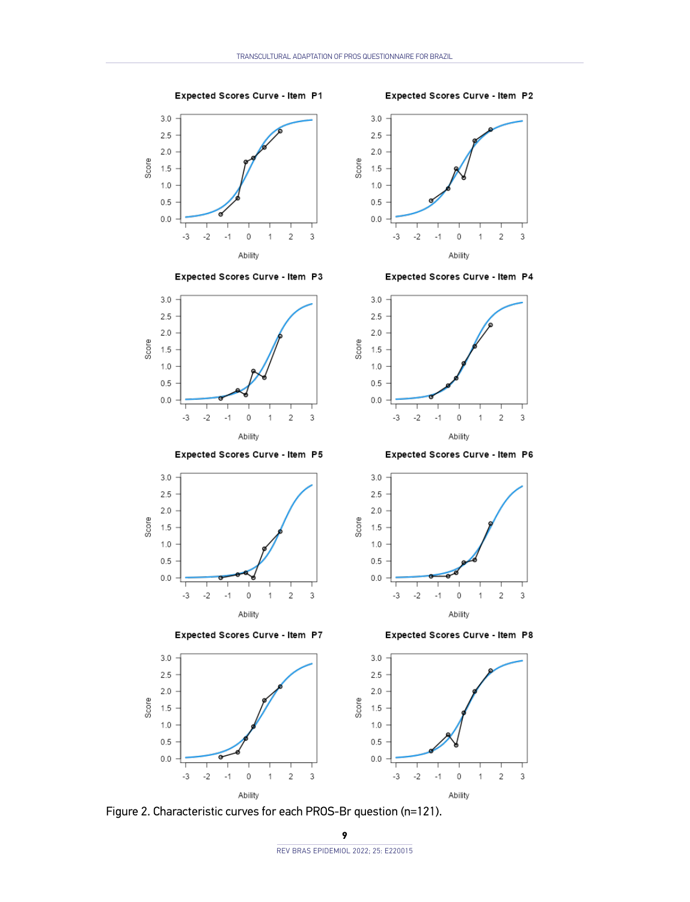$3.0$ 

Expected Scores Curve - Item P1

Expected Scores Curve - Item P2



Expected Scores Curve - Item P3



Expected Scores Curve - Item P5



Expected Scores Curve - Item P7

Expected Scores Curve - Item P8



Figure 2. Characteristic curves for each PROS-Br question (n=121).

2.5  $2.0$ Score 1.5  $1.0$  $0.5$  $0.0$  $_{3}$  $\mathbf 2$  $-3$  $-2$  $-1$  $\,0\,$  $\,$  1  $\,$ Ability

Expected Scores Curve - Item P4



Expected Scores Curve - Item P6





**9**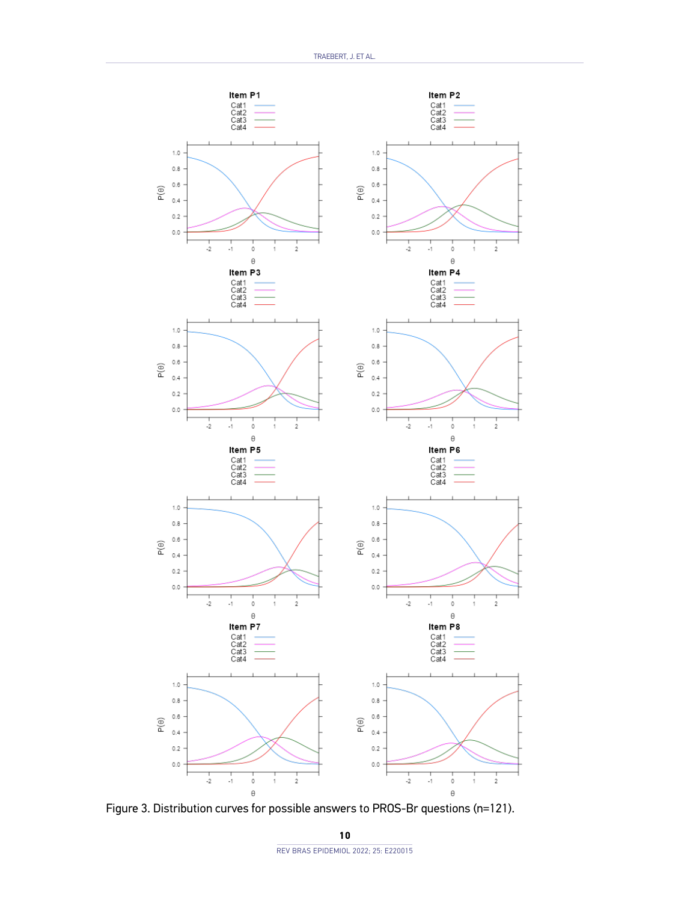

Figure 3. Distribution curves for possible answers to PROS-Br questions (n=121).

**10** REV BRAS EPIDEMIOL 2022; 25: E220015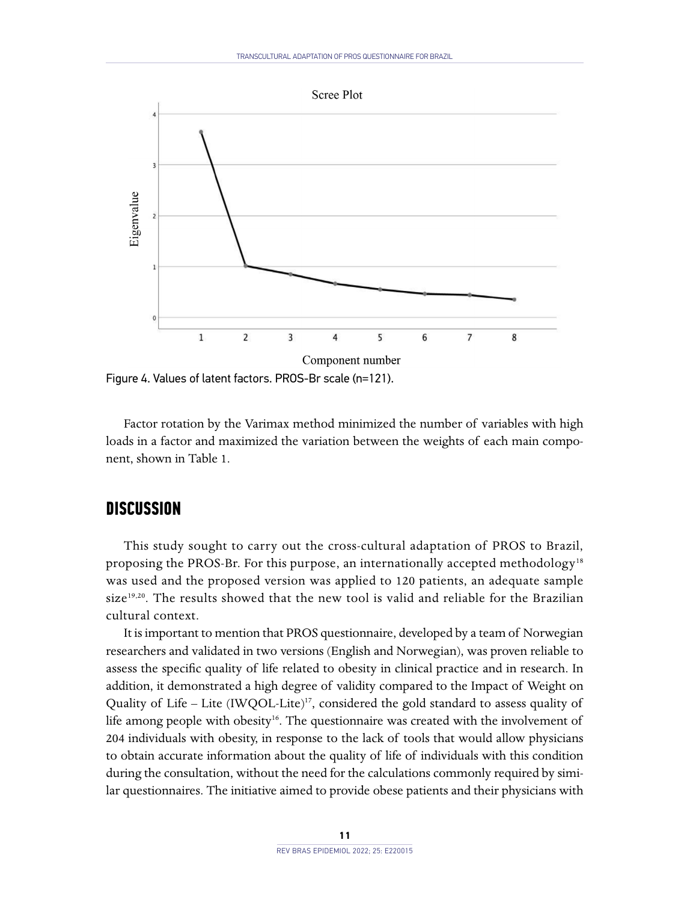

Figure 4. Values of latent factors. PROS-Br scale (n=121).

Factor rotation by the Varimax method minimized the number of variables with high loads in a factor and maximized the variation between the weights of each main component, shown in Table 1.

## **DISCUSSION**

This study sought to carry out the cross-cultural adaptation of PROS to Brazil, proposing the PROS-Br. For this purpose, an internationally accepted methodology<sup>18</sup> was used and the proposed version was applied to 120 patients, an adequate sample size<sup>19,20</sup>. The results showed that the new tool is valid and reliable for the Brazilian cultural context.

It is important to mention that PROS questionnaire, developed by a team of Norwegian researchers and validated in two versions (English and Norwegian), was proven reliable to assess the specific quality of life related to obesity in clinical practice and in research. In addition, it demonstrated a high degree of validity compared to the Impact of Weight on Quality of Life - Lite (IWQOL-Lite)<sup>17</sup>, considered the gold standard to assess quality of life among people with obesity<sup>16</sup>. The questionnaire was created with the involvement of 204 individuals with obesity, in response to the lack of tools that would allow physicians to obtain accurate information about the quality of life of individuals with this condition during the consultation, without the need for the calculations commonly required by similar questionnaires. The initiative aimed to provide obese patients and their physicians with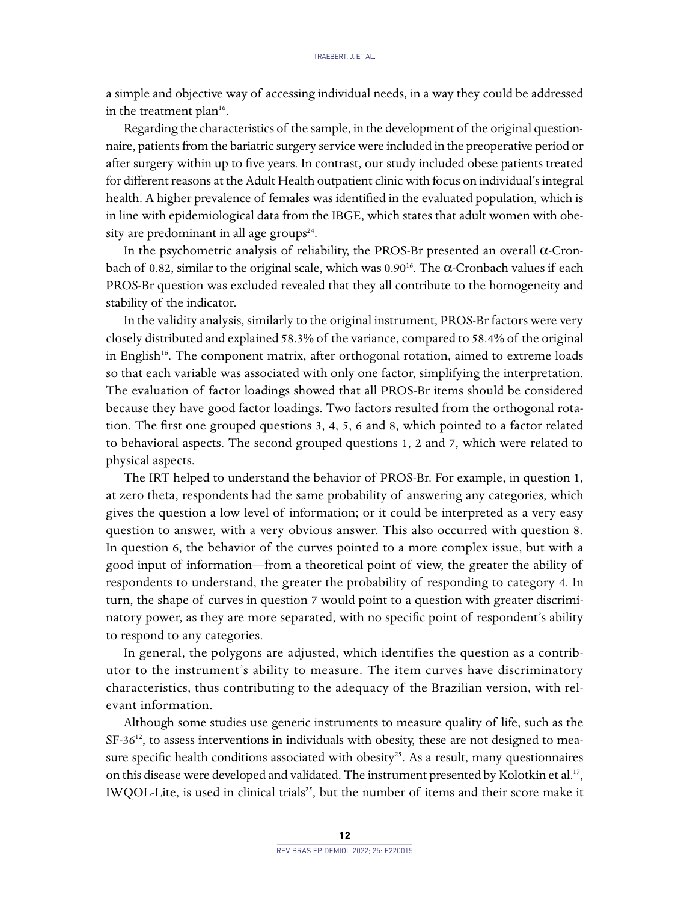a simple and objective way of accessing individual needs, in a way they could be addressed in the treatment plan $16$ .

Regarding the characteristics of the sample, in the development of the original questionnaire, patients from the bariatric surgery service were included in the preoperative period or after surgery within up to five years. In contrast, our study included obese patients treated for different reasons at the Adult Health outpatient clinic with focus on individual's integral health. A higher prevalence of females was identified in the evaluated population, which is in line with epidemiological data from the IBGE, which states that adult women with obesity are predominant in all age groups $24$ .

In the psychometric analysis of reliability, the PROS-Br presented an overall  $\alpha$ -Cronbach of 0.82, similar to the original scale, which was 0.9016. The α-Cronbach values if each PROS-Br question was excluded revealed that they all contribute to the homogeneity and stability of the indicator.

In the validity analysis, similarly to the original instrument, PROS-Br factors were very closely distributed and explained 58.3% of the variance, compared to 58.4% of the original in English<sup>16</sup>. The component matrix, after orthogonal rotation, aimed to extreme loads so that each variable was associated with only one factor, simplifying the interpretation. The evaluation of factor loadings showed that all PROS-Br items should be considered because they have good factor loadings. Two factors resulted from the orthogonal rotation. The first one grouped questions 3, 4, 5, 6 and 8, which pointed to a factor related to behavioral aspects. The second grouped questions 1, 2 and 7, which were related to physical aspects.

The IRT helped to understand the behavior of PROS-Br. For example, in question 1, at zero theta, respondents had the same probability of answering any categories, which gives the question a low level of information; or it could be interpreted as a very easy question to answer, with a very obvious answer. This also occurred with question 8. In question 6, the behavior of the curves pointed to a more complex issue, but with a good input of information—from a theoretical point of view, the greater the ability of respondents to understand, the greater the probability of responding to category 4. In turn, the shape of curves in question 7 would point to a question with greater discriminatory power, as they are more separated, with no specific point of respondent's ability to respond to any categories.

In general, the polygons are adjusted, which identifies the question as a contributor to the instrument's ability to measure. The item curves have discriminatory characteristics, thus contributing to the adequacy of the Brazilian version, with relevant information.

Although some studies use generic instruments to measure quality of life, such as the  $SF-36^{12}$ , to assess interventions in individuals with obesity, these are not designed to measure specific health conditions associated with obesity<sup>25</sup>. As a result, many questionnaires on this disease were developed and validated. The instrument presented by Kolotkin et al.<sup>17</sup>, IWQOL-Lite, is used in clinical trials<sup>25</sup>, but the number of items and their score make it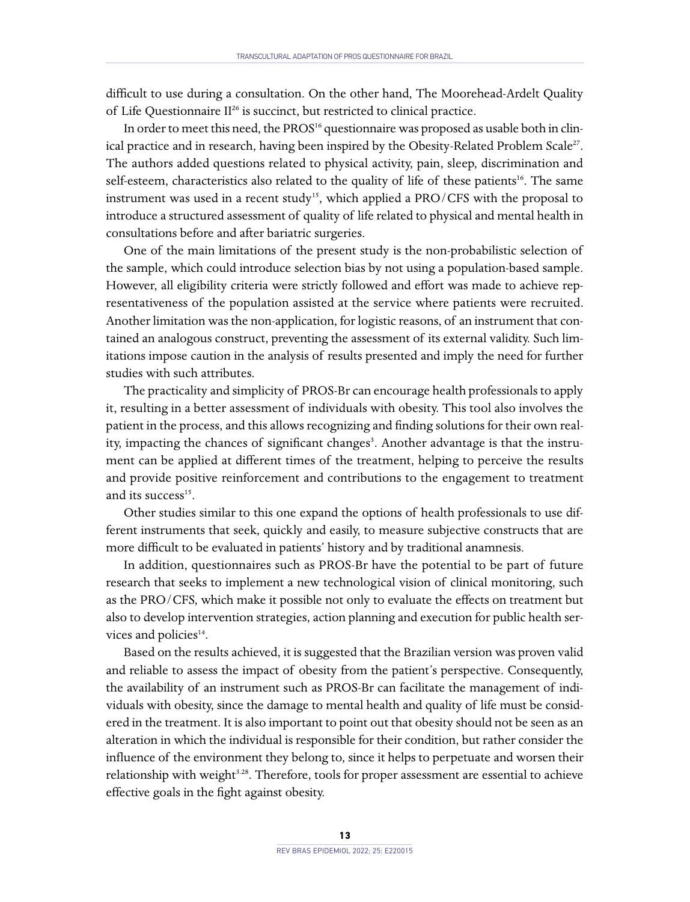difficult to use during a consultation. On the other hand, The Moorehead-Ardelt Quality of Life Questionnaire II<sup>26</sup> is succinct, but restricted to clinical practice.

In order to meet this need, the PROS<sup>16</sup> questionnaire was proposed as usable both in clinical practice and in research, having been inspired by the Obesity-Related Problem Scale<sup>27</sup>. The authors added questions related to physical activity, pain, sleep, discrimination and self-esteem, characteristics also related to the quality of life of these patients<sup>16</sup>. The same instrument was used in a recent study<sup>15</sup>, which applied a PRO/CFS with the proposal to introduce a structured assessment of quality of life related to physical and mental health in consultations before and after bariatric surgeries.

One of the main limitations of the present study is the non-probabilistic selection of the sample, which could introduce selection bias by not using a population-based sample. However, all eligibility criteria were strictly followed and effort was made to achieve representativeness of the population assisted at the service where patients were recruited. Another limitation was the non-application, for logistic reasons, of an instrument that contained an analogous construct, preventing the assessment of its external validity. Such limitations impose caution in the analysis of results presented and imply the need for further studies with such attributes.

The practicality and simplicity of PROS-Br can encourage health professionals to apply it, resulting in a better assessment of individuals with obesity. This tool also involves the patient in the process, and this allows recognizing and finding solutions for their own reality, impacting the chances of significant changes<sup>3</sup>. Another advantage is that the instrument can be applied at different times of the treatment, helping to perceive the results and provide positive reinforcement and contributions to the engagement to treatment and its success<sup>15</sup>.

Other studies similar to this one expand the options of health professionals to use different instruments that seek, quickly and easily, to measure subjective constructs that are more difficult to be evaluated in patients' history and by traditional anamnesis.

In addition, questionnaires such as PROS-Br have the potential to be part of future research that seeks to implement a new technological vision of clinical monitoring, such as the PRO/CFS, which make it possible not only to evaluate the effects on treatment but also to develop intervention strategies, action planning and execution for public health services and policies<sup>14</sup>.

Based on the results achieved, it is suggested that the Brazilian version was proven valid and reliable to assess the impact of obesity from the patient's perspective. Consequently, the availability of an instrument such as PROS-Br can facilitate the management of individuals with obesity, since the damage to mental health and quality of life must be considered in the treatment. It is also important to point out that obesity should not be seen as an alteration in which the individual is responsible for their condition, but rather consider the influence of the environment they belong to, since it helps to perpetuate and worsen their relationship with weight<sup>3.28</sup>. Therefore, tools for proper assessment are essential to achieve effective goals in the fight against obesity.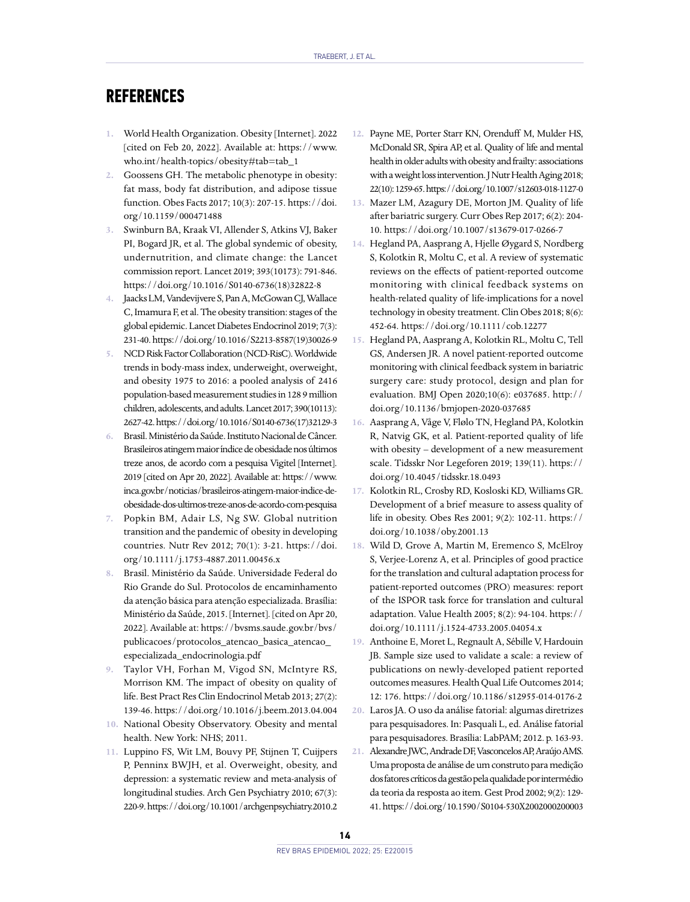# **REFERENCES**

- **1.** World Health Organization. Obesity [Internet]. 2022 [cited on Feb 20, 2022]. Available at: [https://www.](https://www.who.int/health-topics/obesity#tab=tab_1) [who.int/health-topics/obesity#tab=tab\\_1](https://www.who.int/health-topics/obesity#tab=tab_1)
- **2.** Goossens GH. The metabolic phenotype in obesity: fat mass, body fat distribution, and adipose tissue function. Obes Facts 2017; 10(3): 207-15. [https://doi.](https://doi.org/10.1159/000471488) [org/10.1159/000471488](https://doi.org/10.1159/000471488)
- **3.** Swinburn BA, Kraak VI, Allender S, Atkins VJ, Baker PI, Bogard JR, et al. The global syndemic of obesity, undernutrition, and climate change: the Lancet commission report. Lancet 2019; 393(10173): 791-846. [https://doi.org/10.1016/S0140-6736\(18\)32822-8](https://doi.org/10.1016/S0140-6736(18)32822-8)
- **4.** Jaacks LM, Vandevijvere S, Pan A, McGowan CJ, Wallace C, Imamura F, et al. The obesity transition: stages of the global epidemic. Lancet Diabetes Endocrinol 2019; 7(3): 231-40. [https://doi.org/10.1016/S2213-8587\(19\)30026-9](https://doi.org/10.1016/S2213-8587(19)30026-9)
- **5.** [NCD Risk Factor Collaboration \(NCD-RisC\).](https://www.ncbi.nlm.nih.gov/pubmed/?term=NCD Risk Factor Collaboration (NCD-RisC)%5BCorporate Author%5D) Worldwide trends in body-mass index, underweight, overweight, and obesity 1975 to 2016: a pooled analysis of 2416 population-based measurement studies in 128 9 million children, adolescents, and adults. Lancet 2017; 390(10113): 2627-42. [https://doi.org/10.1016/S0140-6736\(17\)32129-3](https://doi.org/10.1016/S0140-6736(17)32129-3)
- **6.** Brasil. Ministério da Saúde. Instituto Nacional de Câncer. Brasileiros atingem maior índice de obesidade nos últimos treze anos, de acordo com a pesquisa Vigitel [Internet]. 2019 [cited on Apr 20, 2022]. Available at: [https://www.](https://www.inca.gov.br/noticias/brasileiros-atingem-maior-indice-de-obesidade-dos-ultimos-treze-anos-de-acordo-com-pesquisa) [inca.gov.br/noticias/brasileiros-atingem-maior-indice-de](https://www.inca.gov.br/noticias/brasileiros-atingem-maior-indice-de-obesidade-dos-ultimos-treze-anos-de-acordo-com-pesquisa)[obesidade-dos-ultimos-treze-anos-de-acordo-com-pesquisa](https://www.inca.gov.br/noticias/brasileiros-atingem-maior-indice-de-obesidade-dos-ultimos-treze-anos-de-acordo-com-pesquisa)
- **7.** Popkin BM, Adair LS, Ng SW. Global nutrition transition and the pandemic of obesity in developing countries. Nutr Rev 2012; 70(1): 3-21. [https://doi.](https://doi.org/10.1111/j.1753-4887.2011.00456.x) [org/10.1111/j.1753-4887.2011.00456.x](https://doi.org/10.1111/j.1753-4887.2011.00456.x)
- **8.** Brasil. Ministério da Saúde. Universidade Federal do Rio Grande do Sul. Protocolos de encaminhamento da atenção básica para atenção especializada. Brasília: Ministério da Saúde, 2015. [Internet]. [cited on Apr 20, 2022]. Available at: [https://bvsms.saude.gov.br/bvs/](https://bvsms.saude.gov.br/bvs/publicacoes/protocolos_atencao_basica_atencao_especializada_endocrinologia.pdf) [publicacoes/protocolos\\_atencao\\_basica\\_atencao\\_](https://bvsms.saude.gov.br/bvs/publicacoes/protocolos_atencao_basica_atencao_especializada_endocrinologia.pdf) [especializada\\_endocrinologia.pdf](https://bvsms.saude.gov.br/bvs/publicacoes/protocolos_atencao_basica_atencao_especializada_endocrinologia.pdf)
- **9.** Taylor VH, Forhan M, Vigod SN, McIntyre RS, Morrison KM. The impact of obesity on quality of life. Best Pract Res Clin Endocrinol Metab 2013; 27(2): 139-46.<https://doi.org/10.1016/j.beem.2013.04.004>
- **10.** National Obesity Observatory. Obesity and mental health. New York: NHS; 2011.
- **11.** Luppino FS, Wit LM, Bouvy PF, Stijnen T, Cuijpers P, Penninx BWJH, et al. Overweight, obesity, and depression: a systematic review and meta-analysis of longitudinal studies. Arch Gen Psychiatry 2010; 67(3): 220-9.<https://doi.org/10.1001/archgenpsychiatry.2010.2>
- **12.** Payne ME, Porter Starr KN, Orenduff M, Mulder HS, McDonald SR, Spira AP, et al. Quality of life and mental health in older adults with obesity and frailty: associations with a weight loss intervention. J Nutr Health Aging 2018; 22(10): 1259-65.<https://doi.org/10.1007/s12603-018-1127-0>
- **13.** Mazer LM, Azagury DE, Morton JM. [Quality of life](https://pubmed.ncbi.nlm.nih.gov/28527103/)  [after bariatric surgery.](https://pubmed.ncbi.nlm.nih.gov/28527103/) Curr Obes Rep 2017; 6(2): 204- 10.<https://doi.org/10.1007/s13679-017-0266-7>
- **14.** Hegland PA, Aasprang A, Hjelle Øygard S, Nordberg S, Kolotkin R, Moltu C, et al. A review of systematic reviews on the effects of patient-reported outcome monitoring with clinical feedback systems on health-related quality of life-implications for a novel technology in obesity treatment. Clin Obes 2018; 8(6): 452-64. <https://doi.org/10.1111/cob.12277>
- **15.** Hegland PA, Aasprang A, Kolotkin RL, Moltu C, Tell GS, Andersen JR. A novel patient-reported outcome monitoring with clinical feedback system in bariatric surgery care: study protocol, design and plan for evaluation. BMJ Open 2020;10(6): e037685. [http://](http://doi.org/10.1136/bmjopen-2020-037685) [doi.org/10.1136/bmjopen-2020-037685](http://doi.org/10.1136/bmjopen-2020-037685)
- **16.** Aasprang A, Våge V, Flølo TN, Hegland PA, Kolotkin R, Natvig GK, et al. Patient-reported quality of life with obesity – development of a new measurement scale. Tidsskr Nor Legeforen 2019; 139(11). [https://](https://doi.org/10.4045/tidsskr.18.0493) [doi.org/10.4045/tidsskr.18.0493](https://doi.org/10.4045/tidsskr.18.0493)
- **17.** Kolotkin RL, Crosby RD, Kosloski KD, Williams GR. Development of a brief measure to assess quality of life in obesity. Obes Res 2001; 9(2): 102-11. [https://](https://doi.org/10.1038/oby.2001.13) [doi.org/10.1038/oby.2001.13](https://doi.org/10.1038/oby.2001.13)
- **18.** Wild D, Grove A, Martin M, Eremenco S, McElroy S, Verjee-Lorenz A, et al. Principles of good practice for the translation and cultural adaptation process for patient-reported outcomes (PRO) measures: report of the ISPOR task force for translation and cultural adaptation. Value Health 2005; 8(2): 94-104. [https://](https://doi.org/10.1111/j.1524-4733.2005.04054.x) [doi.org/10.1111/j.1524-4733.2005.04054.x](https://doi.org/10.1111/j.1524-4733.2005.04054.x)
- **19.** Anthoine E, Moret L, Regnault A, Sébille V, Hardouin JB. Sample size used to validate a scale: a review of publications on newly-developed patient reported outcomes measures. Health Qual Life Outcomes 2014; 12: 176.<https://doi.org/10.1186/s12955-014-0176-2>
- **20.** Laros JA. O uso da análise fatorial: algumas diretrizes para pesquisadores. In: Pasquali L, ed. Análise fatorial para pesquisadores. Brasília: LabPAM; 2012. p. 163-93.
- **21.** Alexandre JWC, Andrade DF, Vasconcelos AP, Araújo AMS. Uma proposta de análise de um construto para medição dos fatores críticos da gestão pela qualidade por intermédio da teoria da resposta ao item. Gest Prod 2002; 9(2): 129- 41.<https://doi.org/10.1590/S0104-530X2002000200003>